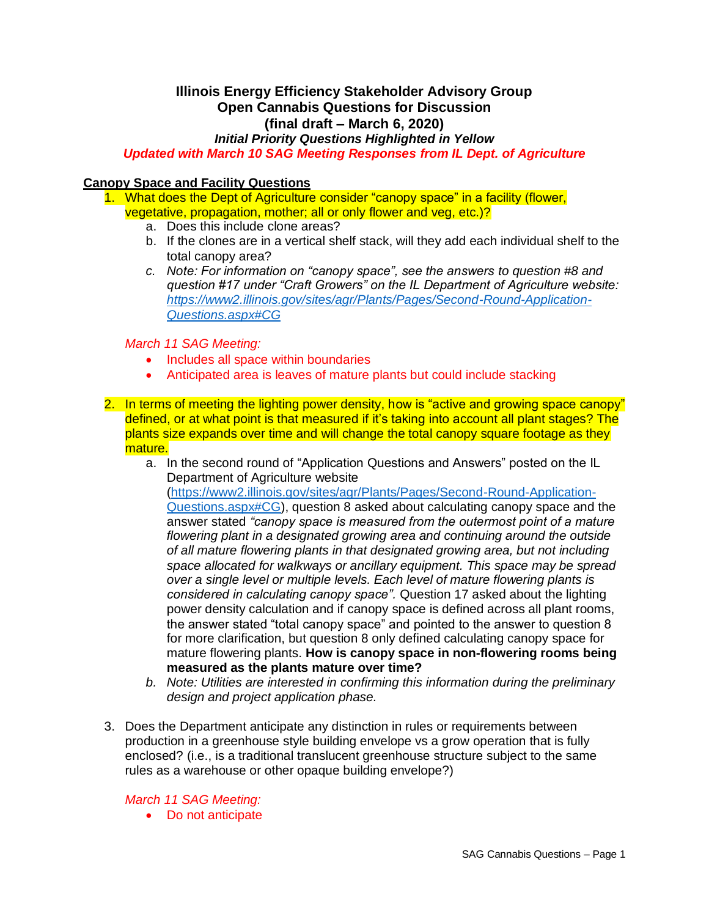# **Illinois Energy Efficiency Stakeholder Advisory Group Open Cannabis Questions for Discussion (final draft – March 6, 2020)**

*Initial Priority Questions Highlighted in Yellow*

*Updated with March 10 SAG Meeting Responses from IL Dept. of Agriculture*

# **Canopy Space and Facility Questions**

- 1. What does the Dept of Agriculture consider "canopy space" in a facility (flower, vegetative, propagation, mother; all or only flower and veg, etc.)?
	- a. Does this include clone areas?
	- b. If the clones are in a vertical shelf stack, will they add each individual shelf to the total canopy area?
	- *c. Note: For information on "canopy space", see the answers to question #8 and question #17 under "Craft Growers" on the IL Department of Agriculture website: [https://www2.illinois.gov/sites/agr/Plants/Pages/Second-Round-Application-](https://www2.illinois.gov/sites/agr/Plants/Pages/Second-Round-Application-Questions.aspx#CG)[Questions.aspx#CG](https://www2.illinois.gov/sites/agr/Plants/Pages/Second-Round-Application-Questions.aspx#CG)*

*March 11 SAG Meeting:*

- Includes all space within boundaries
- Anticipated area is leaves of mature plants but could include stacking
- 2. In terms of meeting the lighting power density, how is "active and growing space canopy" defined, or at what point is that measured if it's taking into account all plant stages? The plants size expands over time and will change the total canopy square footage as they mature.
	- a. In the second round of "Application Questions and Answers" posted on the IL Department of Agriculture website [\(https://www2.illinois.gov/sites/agr/Plants/Pages/Second-Round-Application-](https://www2.illinois.gov/sites/agr/Plants/Pages/Second-Round-Application-Questions.aspx#CG)

[Questions.aspx#CG\)](https://www2.illinois.gov/sites/agr/Plants/Pages/Second-Round-Application-Questions.aspx#CG), question 8 asked about calculating canopy space and the answer stated *"canopy space is measured from the outermost point of a mature flowering plant in a designated growing area and continuing around the outside of all mature flowering plants in that designated growing area, but not including space allocated for walkways or ancillary equipment. This space may be spread over a single level or multiple levels. Each level of mature flowering plants is considered in calculating canopy space".* Question 17 asked about the lighting power density calculation and if canopy space is defined across all plant rooms, the answer stated "total canopy space" and pointed to the answer to question 8 for more clarification, but question 8 only defined calculating canopy space for mature flowering plants. **How is canopy space in non-flowering rooms being measured as the plants mature over time?**

- *b. Note: Utilities are interested in confirming this information during the preliminary design and project application phase.*
- 3. Does the Department anticipate any distinction in rules or requirements between production in a greenhouse style building envelope vs a grow operation that is fully enclosed? (i.e., is a traditional translucent greenhouse structure subject to the same rules as a warehouse or other opaque building envelope?)

*March 11 SAG Meeting:*

• Do not anticipate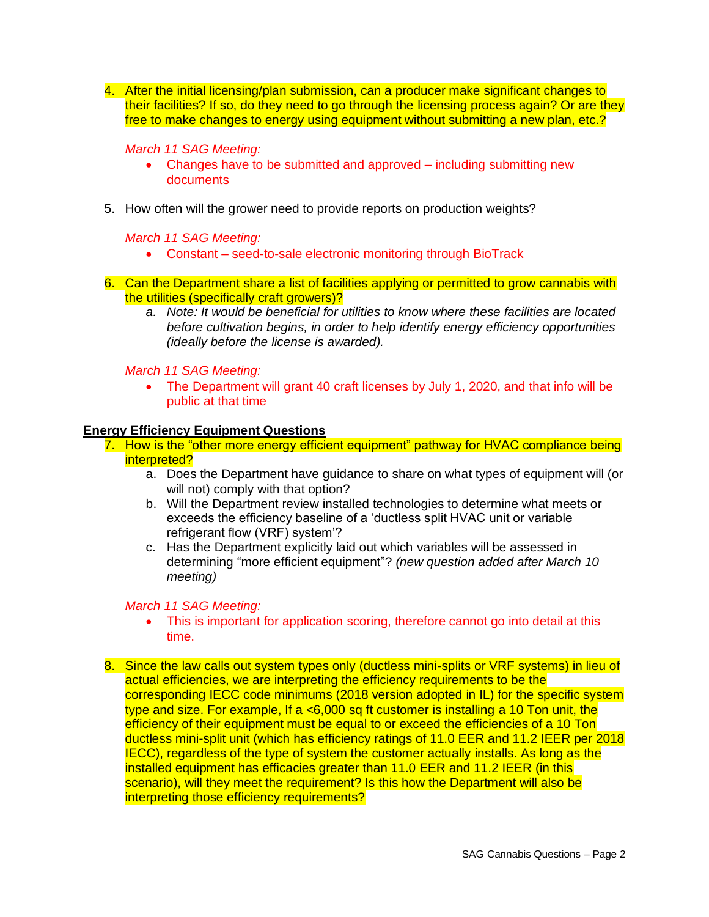4. After the initial licensing/plan submission, can a producer make significant changes to their facilities? If so, do they need to go through the licensing process again? Or are they free to make changes to energy using equipment without submitting a new plan, etc.?

#### *March 11 SAG Meeting:*

- Changes have to be submitted and approved including submitting new documents
- 5. How often will the grower need to provide reports on production weights?

#### *March 11 SAG Meeting:*

- Constant seed-to-sale electronic monitoring through BioTrack
- 6. Can the Department share a list of facilities applying or permitted to grow cannabis with the utilities (specifically craft growers)?
	- *a. Note: It would be beneficial for utilities to know where these facilities are located before cultivation begins, in order to help identify energy efficiency opportunities (ideally before the license is awarded).*

#### *March 11 SAG Meeting:*

• The Department will grant 40 craft licenses by July 1, 2020, and that info will be public at that time

#### **Energy Efficiency Equipment Questions**

- 7. How is the "other more energy efficient equipment" pathway for HVAC compliance being interpreted?
	- a. Does the Department have guidance to share on what types of equipment will (or will not) comply with that option?
	- b. Will the Department review installed technologies to determine what meets or exceeds the efficiency baseline of a 'ductless split HVAC unit or variable refrigerant flow (VRF) system'?
	- c. Has the Department explicitly laid out which variables will be assessed in determining "more efficient equipment"? *(new question added after March 10 meeting)*

# *March 11 SAG Meeting:*

- This is important for application scoring, therefore cannot go into detail at this time.
- 8. Since the law calls out system types only (ductless mini-splits or VRF systems) in lieu of actual efficiencies, we are interpreting the efficiency requirements to be the corresponding IECC code minimums (2018 version adopted in IL) for the specific system type and size. For example, If a  $<$ 6,000 sq ft customer is installing a 10 Ton unit, the efficiency of their equipment must be equal to or exceed the efficiencies of a 10 Ton ductless mini-split unit (which has efficiency ratings of 11.0 EER and 11.2 IEER per 2018 IECC), regardless of the type of system the customer actually installs. As long as the installed equipment has efficacies greater than 11.0 EER and 11.2 IEER (in this scenario), will they meet the requirement? Is this how the Department will also be interpreting those efficiency requirements?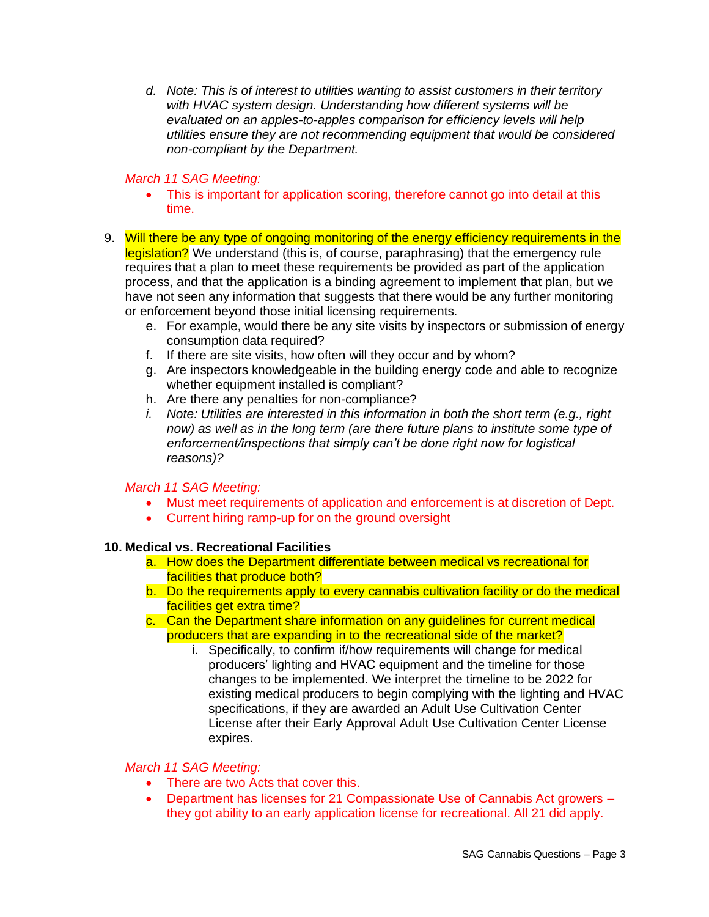*d. Note: This is of interest to utilities wanting to assist customers in their territory with HVAC system design. Understanding how different systems will be evaluated on an apples-to-apples comparison for efficiency levels will help utilities ensure they are not recommending equipment that would be considered non-compliant by the Department.* 

# *March 11 SAG Meeting:*

- This is important for application scoring, therefore cannot go into detail at this time.
- 9. Will there be any type of ongoing monitoring of the energy efficiency requirements in the legislation? We understand (this is, of course, paraphrasing) that the emergency rule requires that a plan to meet these requirements be provided as part of the application process, and that the application is a binding agreement to implement that plan, but we have not seen any information that suggests that there would be any further monitoring or enforcement beyond those initial licensing requirements.
	- e. For example, would there be any site visits by inspectors or submission of energy consumption data required?
	- f. If there are site visits, how often will they occur and by whom?
	- g. Are inspectors knowledgeable in the building energy code and able to recognize whether equipment installed is compliant?
	- h. Are there any penalties for non-compliance?
	- *i. Note: Utilities are interested in this information in both the short term (e.g., right now) as well as in the long term (are there future plans to institute some type of enforcement/inspections that simply can't be done right now for logistical reasons)?*

# *March 11 SAG Meeting:*

- Must meet requirements of application and enforcement is at discretion of Dept.
- Current hiring ramp-up for on the ground oversight

# **10. Medical vs. Recreational Facilities**

- a. How does the Department differentiate between medical vs recreational for facilities that produce both?
- b. Do the requirements apply to every cannabis cultivation facility or do the medical facilities get extra time?
- c. Can the Department share information on any guidelines for current medical producers that are expanding in to the recreational side of the market?
	- i. Specifically, to confirm if/how requirements will change for medical producers' lighting and HVAC equipment and the timeline for those changes to be implemented. We interpret the timeline to be 2022 for existing medical producers to begin complying with the lighting and HVAC specifications, if they are awarded an Adult Use Cultivation Center License after their Early Approval Adult Use Cultivation Center License expires.

#### *March 11 SAG Meeting:*

- There are two Acts that cover this.
- Department has licenses for 21 Compassionate Use of Cannabis Act growers they got ability to an early application license for recreational. All 21 did apply.